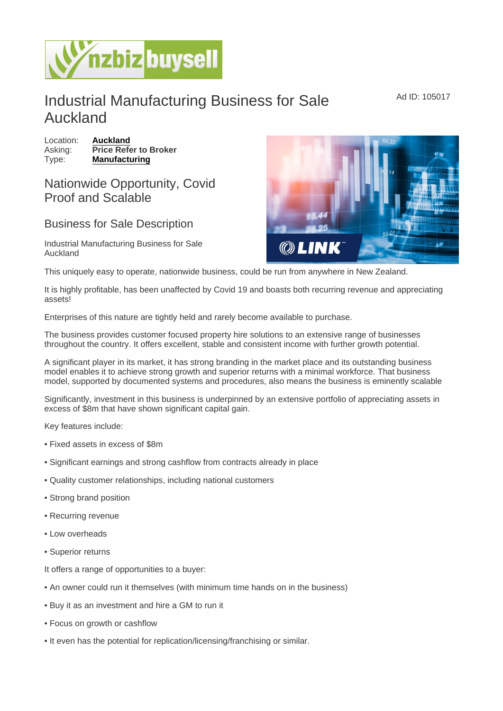## Industrial Manufacturing Business for Sale Auckland

Location: [Auckland](https://www.nzbizbuysell.co.nz/businesses-for-sale/location/Auckland) Asking: Price Refer to Broker Type: [Manufacturing](https://www.nzbizbuysell.co.nz/businesses-for-sale/Manufacturing/New-Zealand)

## Nationwide Opportunity, Covid Proof and Scalable

## Business for Sale Description

Industrial Manufacturing Business for Sale Auckland

This uniquely easy to operate, nationwide business, could be run from anywhere in New Zealand.

It is highly profitable, has been unaffected by Covid 19 and boasts both recurring revenue and appreciating assets!

Enterprises of this nature are tightly held and rarely become available to purchase.

The business provides customer focused property hire solutions to an extensive range of businesses throughout the country. It offers excellent, stable and consistent income with further growth potential.

A significant player in its market, it has strong branding in the market place and its outstanding business model enables it to achieve strong growth and superior returns with a minimal workforce. That business model, supported by documented systems and procedures, also means the business is eminently scalable

Significantly, investment in this business is underpinned by an extensive portfolio of appreciating assets in excess of \$8m that have shown significant capital gain.

Key features include:

- Fixed assets in excess of \$8m
- Significant earnings and strong cashflow from contracts already in place
- Quality customer relationships, including national customers
- Strong brand position
- Recurring revenue
- Low overheads
- Superior returns

It offers a range of opportunities to a buyer:

- An owner could run it themselves (with minimum time hands on in the business)
- Buy it as an investment and hire a GM to run it
- Focus on growth or cashflow
- It even has the potential for replication/licensing/franchising or similar.